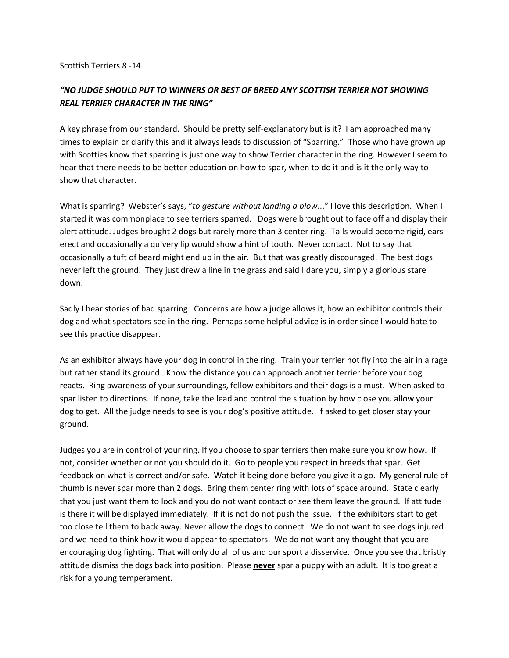## Scottish Terriers 8 -14

## *"NO JUDGE SHOULD PUT TO WINNERS OR BEST OF BREED ANY SCOTTISH TERRIER NOT SHOWING REAL TERRIER CHARACTER IN THE RING"*

A key phrase from our standard. Should be pretty self-explanatory but is it? I am approached many times to explain or clarify this and it always leads to discussion of "Sparring." Those who have grown up with Scotties know that sparring is just one way to show Terrier character in the ring*.* However I seem to hear that there needs to be better education on how to spar, when to do it and is it the only way to show that character.

What is sparring? Webster's says, "*to gesture without landing a blow*..." I love this description. When I started it was commonplace to see terriers sparred. Dogs were brought out to face off and display their alert attitude. Judges brought 2 dogs but rarely more than 3 center ring. Tails would become rigid, ears erect and occasionally a quivery lip would show a hint of tooth. Never contact. Not to say that occasionally a tuft of beard might end up in the air. But that was greatly discouraged. The best dogs never left the ground. They just drew a line in the grass and said I dare you, simply a glorious stare down.

Sadly I hear stories of bad sparring. Concerns are how a judge allows it, how an exhibitor controls their dog and what spectators see in the ring. Perhaps some helpful advice is in order since I would hate to see this practice disappear.

As an exhibitor always have your dog in control in the ring. Train your terrier not fly into the air in a rage but rather stand its ground. Know the distance you can approach another terrier before your dog reacts. Ring awareness of your surroundings, fellow exhibitors and their dogs is a must. When asked to spar listen to directions. If none, take the lead and control the situation by how close you allow your dog to get. All the judge needs to see is your dog's positive attitude. If asked to get closer stay your ground.

Judges you are in control of your ring. If you choose to spar terriers then make sure you know how. If not, consider whether or not you should do it. Go to people you respect in breeds that spar. Get feedback on what is correct and/or safe. Watch it being done before you give it a go. My general rule of thumb is never spar more than 2 dogs. Bring them center ring with lots of space around. State clearly that you just want them to look and you do not want contact or see them leave the ground. If attitude is there it will be displayed immediately. If it is not do not push the issue. If the exhibitors start to get too close tell them to back away. Never allow the dogs to connect. We do not want to see dogs injured and we need to think how it would appear to spectators. We do not want any thought that you are encouraging dog fighting. That will only do all of us and our sport a disservice. Once you see that bristly attitude dismiss the dogs back into position. Please **never** spar a puppy with an adult. It is too great a risk for a young temperament.